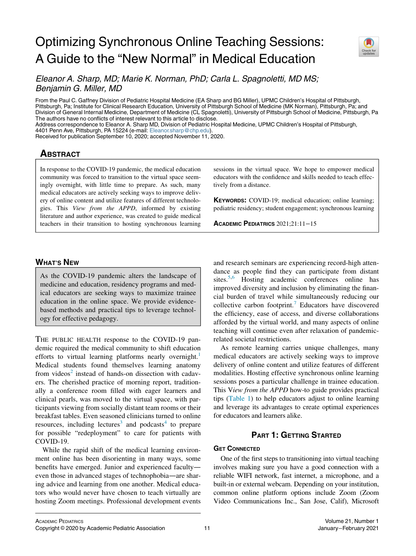# Optimizing Synchronous Online Teaching Sessions: A Guide to the "New Normal" in Medical Education



Eleanor A. Sharp, MD; Marie K. Norman, PhD; Carla L. Spagnoletti, MD MS;<br>Benjamin G. Miller, MD

marty Chromin Gordonners, Mann<br>From the Paul C. Gaffney Division of Pediatric Hospital Medicine (EA Sharp and BG Miller), UPMC Children's Hospital of Pittsburgh, Pittsburgh, Pa; Institute for Clinical Research Education, University of Pittsburgh School of Medicine (MK Norman), Pittsburgh, Pa; and Division of General Internal Medicine, Department of Medicine (CL Spagnoletti), University of Pittsburgh School of Medicine, Pittsburgh, Pa The authors have no conflicts of interest relevant to this article to disclose.

Address correspondence to Eleanor A. Sharp MD, Division of Pediatric Hospital Medicine, UPMC Children's Hospital of Pittsburgh, 4401 Penn Ave, Pittsburgh, PA 15224 (e-mail: [Eleanor.sharp@chp.edu\)](mailto:Eleanor.sharp@chp.edu).

Received for publication September 10, 2020; accepted November 11, 2020.

# **ABSTRACT**

In response to the COVID-19 pandemic, the medical education community was forced to transition to the virtual space seemingly overnight, with little time to prepare. As such, many medical educators are actively seeking ways to improve delivery of online content and utilize features of different technologies. This View from the APPD, informed by existing literature and author experience, was created to guide medical teachers in their transition to hosting synchronous learning sessions in the virtual space. We hope to empower medical educators with the confidence and skills needed to teach effectively from a distance.

KEYWORDS: COVID-19; medical education; online learning; pediatric residency; student engagement; synchronous learning

ACADEMIC PEDIATRICS 2021;21:11−15

# WHAT'S NEW

As the COVID-19 pandemic alters the landscape of medicine and education, residency programs and medical educators are seeking ways to maximize trainee education in the online space. We provide evidencebased methods and practical tips to leverage technology for effective pedagogy.

THE PUBLIC HEALTH response to the COVID-19 pandemic required the medical community to shift education efforts to virtual learning platforms nearly overnight.<sup>[1](#page-3-0)</sup> Medical students found themselves learning anatomy from videos<sup>[2](#page-3-1)</sup> instead of hands-on dissection with cadavers. The cherished practice of morning report, traditionally a conference room filled with eager learners and clinical pearls, was moved to the virtual space, with participants viewing from socially distant team rooms or their breakfast tables. Even seasoned clinicians turned to online resources, including lectures<sup>[3](#page-3-2)</sup> and podcasts<sup>[4](#page-3-3)</sup> to prepare for possible "redeployment" to care for patients with COVID-19.

While the rapid shift of the medical learning environment online has been disorienting in many ways, some benefits have emerged. Junior and experienced faculty even those in advanced stages of technophobia—are sharing advice and learning from one another. Medical educators who would never have chosen to teach virtually are hosting Zoom meetings. Professional development events and research seminars are experiencing record-high attendance as people find they can participate from distant sites.<sup>[5](#page-3-4)[,6](#page-4-0)</sup> Hosting academic conferences online has improved diversity and inclusion by eliminating the financial burden of travel while simultaneously reducing our collective carbon footprint.<sup>[7](#page-4-1)</sup> Educators have discovered the efficiency, ease of access, and diverse collaborations afforded by the virtual world, and many aspects of online teaching will continue even after relaxation of pandemicrelated societal restrictions.

As remote learning carries unique challenges, many medical educators are actively seeking ways to improve delivery of online content and utilize features of different modalities. Hosting effective synchronous online learning sessions poses a particular challenge in trainee education. This View from the APPD how-to guide provides practical tips ([Table 1\)](#page-1-0) to help educators adjust to online learning and leverage its advantages to create optimal experiences for educators and learners alike.

# PART 1: GETTING STARTED

# **GET CONNECTED**

One of the first steps to transitioning into virtual teaching involves making sure you have a good connection with a reliable WIFI network, fast internet, a microphone, and a built-in or external webcam. Depending on your institution, common online platform options include Zoom (Zoom Video Communications Inc., San Jose, Calif), Microsoft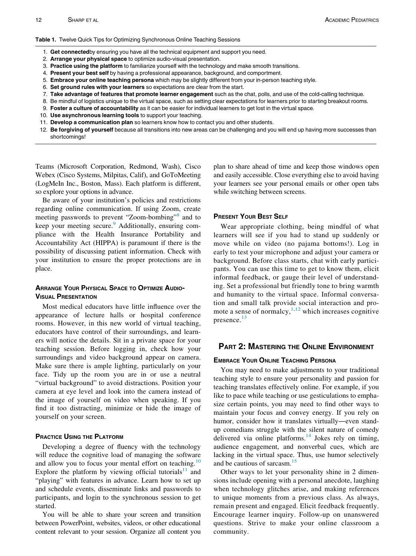<span id="page-1-0"></span>Table 1. Twelve Quick Tips for Optimizing Synchronous Online Teaching Sessions

- 1. Get connectedby ensuring you have all the technical equipment and support you need.
- 2. Arrange your physical space to optimize audio-visual presentation.
- 3. Practice using the platform to familiarize yourself with the technology and make smooth transitions.
- 4. Present your best self by having a professional appearance, background, and comportment.
- 5. Embrace your online teaching persona which may be slightly different from your in-person teaching style.
- 6. Set ground rules with your learners so expectations are clear from the start.
- 7. Take advantage of features that promote learner engagement such as the chat, polls, and use of the cold-calling technique.
- 8. Be mindful of logistics unique to the virtual space, such as setting clear expectations for learners prior to starting breakout rooms.
- 9. Foster a culture of accountability as it can be easier for individual learners to get lost in the virtual space.
- 10. Use asynchronous learning tools to support your teaching.
- 11. Develop a communication plan so learners know how to contact you and other students.
- 12. Be forgiving of yourself because all transitions into new areas can be challenging and you will end up having more successes than shortcomings!

Teams (Microsoft Corporation, Redmond, Wash), Cisco Webex (Cisco Systems, Milpitas, Calif), and GoToMeeting (LogMeIn Inc., Boston, Mass). Each platform is different, so explore your options in advance.

Be aware of your institution's policies and restrictions regarding online communication. If using Zoom, create meeting passwords to prevent "Zoom-bombing"<sup>[8](#page-4-2)</sup> and to keep your meeting secure.<sup>[9](#page-4-3)</sup> Additionally, ensuring compliance with the Health Insurance Portability and Accountability Act (HIPPA) is paramount if there is the possibility of discussing patient information. Check with your institution to ensure the proper protections are in place.

# ARRANGE YOUR PHYSICAL SPACE TO OPTIMIZE AUDIO-VISUAL PRESENTATION

Most medical educators have little influence over the appearance of lecture halls or hospital conference rooms. However, in this new world of virtual teaching, educators have control of their surroundings, and learners will notice the details. Sit in a private space for your teaching session. Before logging in, check how your surroundings and video background appear on camera. Make sure there is ample lighting, particularly on your face. Tidy up the room you are in or use a neutral "virtual background" to avoid distractions. Position your camera at eye level and look into the camera instead of the image of yourself on video when speaking. If you find it too distracting, minimize or hide the image of yourself on your screen.

#### PRACTICE USING THE PLATFORM

Developing a degree of fluency with the technology will reduce the cognitive load of managing the software and allow you to focus your mental effort on teaching.<sup>[10](#page-4-4)</sup> Explore the platform by viewing official tutorials<sup>[11](#page-4-5)</sup> and "playing" with features in advance. Learn how to set up and schedule events, disseminate links and passwords to participants, and login to the synchronous session to get started.

You will be able to share your screen and transition between PowerPoint, websites, videos, or other educational content relevant to your session. Organize all content you plan to share ahead of time and keep those windows open and easily accessible. Close everything else to avoid having your learners see your personal emails or other open tabs while switching between screens.

#### PRESENT YOUR BEST SELF

Wear appropriate clothing, being mindful of what learners will see if you had to stand up suddenly or move while on video (no pajama bottoms!). Log in early to test your microphone and adjust your camera or background. Before class starts, chat with early participants. You can use this time to get to know them, elicit informal feedback, or gauge their level of understanding. Set a professional but friendly tone to bring warmth and humanity to the virtual space. Informal conversation and small talk provide social interaction and promote a sense of normalcy,  $^{1,12}$  $^{1,12}$  $^{1,12}$  $^{1,12}$  $^{1,12}$  which increases cognitive presence.<sup>[13](#page-4-7)</sup>

# PART 2: MASTERING THE ONLINE ENVIRONMENT

# EMBRACE YOUR ONLINE TEACHING PERSONA

You may need to make adjustments to your traditional teaching style to ensure your personality and passion for teaching translates effectively online. For example, if you like to pace while teaching or use gesticulations to emphasize certain points, you may need to find other ways to maintain your focus and convey energy. If you rely on humor, consider how it translates virtually—even standup comedians struggle with the silent nature of comedy delivered via online platforms. $14$  Jokes rely on timing, audience engagement, and nonverbal cues, which are lacking in the virtual space. Thus, use humor selectively and be cautious of sarcasm.[15](#page-4-9)

Other ways to let your personality shine in 2 dimensions include opening with a personal anecdote, laughing when technology glitches arise, and making references to unique moments from a previous class. As always, remain present and engaged. Elicit feedback frequently. Encourage learner inquiry. Follow-up on unanswered questions. Strive to make your online classroom a community.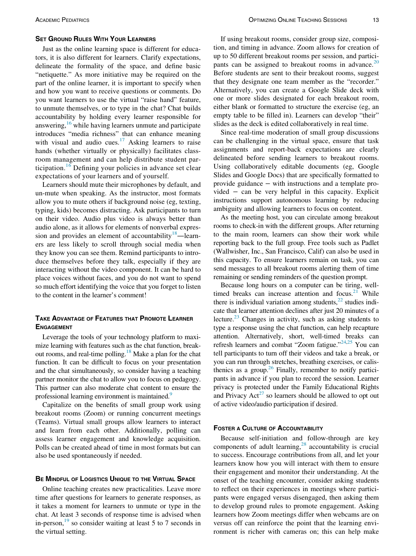## **SET GROUND RULES WITH YOUR LEARNERS**

Just as the online learning space is different for educators, it is also different for learners. Clarify expectations, delineate the formality of the space, and define basic "netiquette." As more initiative may be required on the part of the online learner, it is important to specify when and how you want to receive questions or comments. Do you want learners to use the virtual "raise hand" feature, to unmute themselves, or to type in the chat? Chat builds accountability by holding every learner responsible for answering, $16$  while having learners unmute and participate introduces "media richness" that can enhance meaning with visual and audio cues. $17$  Asking learners to raise hands (whether virtually or physically) facilitates classroom management and can help distribute student par-ticipation.<sup>[16](#page-4-10)</sup> Defining your policies in advance set clear expectations of your learners and of yourself.

Learners should mute their microphones by default, and un-mute when speaking. As the instructor, most formats allow you to mute others if background noise (eg, texting, typing, kids) becomes distracting. Ask participants to turn on their video. Audio plus video is always better than audio alone, as it allows for elements of nonverbal expression and provides an element of accountability $18$ —learners are less likely to scroll through social media when they know you can see them. Remind participants to introduce themselves before they talk, especially if they are interacting without the video component. It can be hard to place voices without faces, and you do not want to spend so much effort identifying the voice that you forget to listen to the content in the learner's comment!

# TAKE ADVANTAGE OF FEATURES THAT PROMOTE LEARNER **ENGAGEMENT**

Leverage the tools of your technology platform to maximize learning with features such as the chat function, breakout rooms, and real-time polling.<sup>18</sup> Make a plan for the chat function. It can be difficult to focus on your presentation and the chat simultaneously, so consider having a teaching partner monitor the chat to allow you to focus on pedagogy. This partner can also moderate chat content to ensure the professional learning environment is maintained.<sup>[9](#page-4-3)</sup>

Capitalize on the benefits of small group work using breakout rooms (Zoom) or running concurrent meetings (Teams). Virtual small groups allow learners to interact and learn from each other. Additionally, polling can assess learner engagement and knowledge acquisition. Polls can be created ahead of time in most formats but can also be used spontaneously if needed.

## BE MINDFUL OF LOGISTICS UNIQUE TO THE VIRTUAL SPACE

Online teaching creates new practicalities. Leave more time after questions for learners to generate responses, as it takes a moment for learners to unmute or type in the chat. At least 3 seconds of response time is advised when in-person, $^{19}$  $^{19}$  $^{19}$  so consider waiting at least 5 to 7 seconds in the virtual setting.

If using breakout rooms, consider group size, composition, and timing in advance. Zoom allows for creation of up to 50 different breakout rooms per session, and partici-pants can be assigned to breakout rooms in advance.<sup>[20](#page-4-14)</sup> Before students are sent to their breakout rooms, suggest that they designate one team member as the "recorder." Alternatively, you can create a Google Slide deck with one or more slides designated for each breakout room, either blank or formatted to structure the exercise (eg, an empty table to be filled in). Learners can develop "their" slides as the deck is edited collaboratively in real time.

Since real-time moderation of small group discussions can be challenging in the virtual space, ensure that task assignments and report-back expectations are clearly delineated before sending learners to breakout rooms. Using collaboratively editable documents (eg, Google Slides and Google Docs) that are specifically formatted to provide guidance − with instructions and a template provided − can be very helpful in this capacity. Explicit instructions support autonomous learning by reducing ambiguity and allowing learners to focus on content.

As the meeting host, you can circulate among breakout rooms to check-in with the different groups. After returning to the main room, learners can show their work while reporting back to the full group. Free tools such as Padlet (Wallwisher, Inc., San Francisco, Calif) can also be used in this capacity. To ensure learners remain on task, you can send messages to all breakout rooms alerting them of time remaining or sending reminders of the question prompt.

Because long hours on a computer can be tiring, welltimed breaks can increase attention and focus. $21$  While there is individual variation among students, $^{22}$  $^{22}$  $^{22}$  studies indicate that learner attention declines after just 20 minutes of a lecture.<sup>23</sup> Changes in activity, such as asking students to type a response using the chat function, can help recapture attention. Alternatively, short, well-timed breaks can refresh learners and combat "Zoom fatigue."[24,](#page-4-18)[25](#page-4-19) You can tell participants to turn off their videos and take a break, or you can run through stretches, breathing exercises, or calisthenics as a group.<sup>26</sup> Finally, remember to notify participants in advance if you plan to record the session. Learner privacy is protected under the Family Educational Rights and Privacy  $Act^{27}$  so learners should be allowed to opt out of active video/audio participation if desired.

#### FOSTER A CULTURE OF ACCOUNTABILITY

Because self-initiation and follow-through are key components of adult learning, $28$  accountability is crucial to success. Encourage contributions from all, and let your learners know how you will interact with them to ensure their engagement and monitor their understanding. At the onset of the teaching encounter, consider asking students to reflect on their experiences in meetings where participants were engaged versus disengaged, then asking them to develop ground rules to promote engagement. Asking learners how Zoom meetings differ when webcams are on versus off can reinforce the point that the learning environment is richer with cameras on; this can help make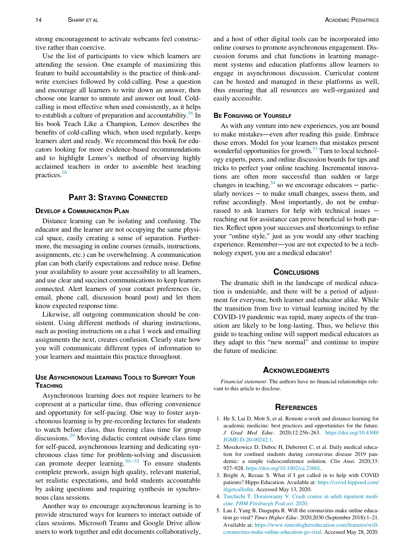strong encouragement to activate webcams feel constructive rather than coercive.

Use the list of participants to view which learners are attending the session. One example of maximizing this feature to build accountability is the practice of think-andwrite exercises followed by cold-calling. Pose a question and encourage all learners to write down an answer, then choose one learner to unmute and answer out loud. Coldcalling is most effective when used consistently, as it helps to establish a culture of preparation and accountability.<sup>16</sup> In his book Teach Like a Champion, Lemov describes the benefits of cold-calling which, when used regularly, keeps learners alert and ready. We recommend this book for educators looking for more evidence-based recommendations and to highlight Lemov's method of observing highly acclaimed teachers in order to assemble best teaching practices.[16](#page-4-10)

# PART 3: STAYING CONNECTED

#### DEVELOP A COMMUNICATION PLAN

Distance learning can be isolating and confusing. The educator and the learner are not occupying the same physical space, easily creating a sense of separation. Furthermore, the messaging in online courses (emails, instructions, assignments, etc.) can be overwhelming. A communication plan can both clarify expectations and reduce noise. Define your availability to assure your accessibility to all learners, and use clear and succinct communications to keep learners connected. Alert learners of your contact preferences (ie, email, phone call, discussion board post) and let them know expected response time.

Likewise, all outgoing communication should be consistent. Using different methods of sharing instructions, such as posting instructions on a chat 1 week and emailing assignments the next, creates confusion. Clearly state how you will communicate different types of information to your learners and maintain this practice throughout.

# USE ASYNCHRONOUS LEARNING TOOLS TO SUPPORT YOUR **TEACHING**

<span id="page-3-1"></span><span id="page-3-0"></span>Asynchronous learning does not require learners to be copresent at a particular time, thus offering convenience and opportunity for self-pacing. One way to foster asynchronous learning is by pre-recording lectures for students to watch before class, thus freeing class time for group discussions.[29](#page-4-23) Moving didactic content outside class time for self-paced, asynchronous learning and dedicating synchronous class time for problem-solving and discussion can promote deeper learning.<sup>30−[32](#page-4-24)</sup> To ensure students complete prework, assign high quality, relevant material, set realistic expectations, and hold students accountable by asking questions and requiring synthesis in synchronous class sessions.

<span id="page-3-4"></span><span id="page-3-3"></span><span id="page-3-2"></span>Another way to encourage asynchronous learning is to provide structured ways for learners to interact outside of class sessions. Microsoft Teams and Google Drive allow users to work together and edit documents collaboratively,

and a host of other digital tools can be incorporated into online courses to promote asynchronous engagement. Discussion forums and chat functions in learning management systems and education platforms allow learners to engage in asynchronous discussion. Curricular content can be hosted and managed in these platforms as well, thus ensuring that all resources are well-organized and easily accessible.

#### BE FORGIVING OF YOURSELF

As with any venture into new experiences, you are bound to make mistakes—even after reading this guide. Embrace those errors. Model for your learners that mistakes present wonderful opportunities for growth.<sup>33</sup> Turn to local technology experts, peers, and online discussion boards for tips and tricks to perfect your online teaching. Incremental innovations are often more successful than sudden or large changes in teaching, $34$  so we encourage educators – particularly novices  $-$  to make small changes, assess them, and refine accordingly. Most importantly, do not be embarrassed to ask learners for help with technical issues − reaching out for assistance can prove beneficial to both parties. Reflect upon your successes and shortcomings to refine your "online style," just as you would any other teaching experience. Remember—you are not expected to be a technology expert, you are a medical educator!

#### **CONCLUSIONS**

The dramatic shift in the landscape of medical education is undeniable, and there will be a period of adjustment for everyone, both learner and educator alike. While the transition from live to virtual learning incited by the COVID-19 pandemic was rapid, many aspects of the transition are likely to be long-lasting. Thus, we believe this guide to teaching online will support medical educators as they adapt to this "new normal" and continue to inspire the future of medicine.

#### **ACKNOWLEDGMENTS**

Financial statement: The authors have no financial relationships relevant to this article to disclose.

## **REFERENCES**

- 1. He S, Lai D, Mott S, et al. Remote e-work and distance learning for academic medicine: best practices and opportunities for the future. J Grad Med Educ. 2020;12:256–263. [https://doi.org/10.4300/](https://doi.org/10.4300/JGME-D-20-00242.1) [JGME-D-20-00242.1.](https://doi.org/10.4300/JGME-D-20-00242.1)
- 2. Moszkowicz D, Duboc H, Dubertret C, et al. Daily medical education for confined students during coronavirus disease 2019 pandemic: a simple videoconference solution. Clin Anat. 2020;33: 927–928. [https://doi.org/10.1002/ca.23601.](https://doi.org/10.1002/ca.23601)
- 3. Bright A, Rezaie S. What if I get called in to help with COVID patients? Hippo Education. Available at: [https://covid.hippoed.com/](https://covid.hippoed.com/ifigetcalledin) [ifigetcalledin](https://covid.hippoed.com/ifigetcalledin). Accessed May 13, 2020.
- 4. [Tarchichi T, Doraiswamy V. Crash course in adult inpatient medi](http://refhub.elsevier.com/S1876-2859(20)30585-4/sbref0004)cine. [PHM Pittsburgh Podcast](http://refhub.elsevier.com/S1876-2859(20)30585-4/sbref0004). 2020.
- 5. Lau J, Yang B, Dasgupta R. Will the coronavirus make online education go viral? Times Higher Educ. 2020;2030 (September 2018):1–21. Available at: [https://www.timeshighereducation.com/features/will](https://www.timeshighereducation.com/features/will-coronavirus-make-online-education-go-viral)[coronavirus-make-online-education-go-viral](https://www.timeshighereducation.com/features/will-coronavirus-make-online-education-go-viral). Accessed May 28, 2020.